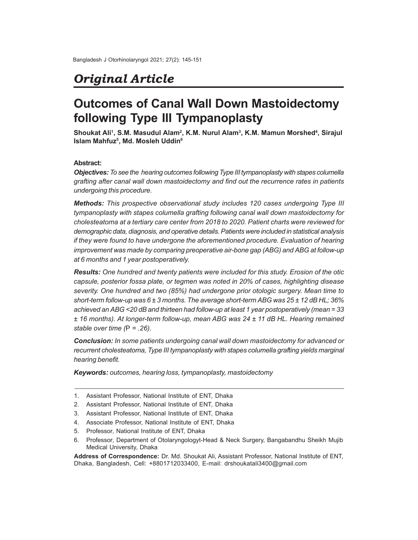## *Original Article*

# **Outcomes of Canal Wall Down Mastoidectomy following Type III Tympanoplasty**

**Shoukat Ali<sup>1</sup> , S.M. Masudul Alam<sup>2</sup> , K.M. Nurul Alam<sup>3</sup> , K.M. Mamun Morshed<sup>4</sup> , Sirajul Islam Mahfuz<sup>5</sup> , Md. Mosleh Uddin<sup>6</sup>**

## **Abstract:**

*Objectives: To see the hearing outcomes following Type III tympanoplasty with stapes columella grafting after canal wall down mastoidectomy and find out the recurrence rates in patients undergoing this procedure.*

*Methods: This prospective observational study includes 120 cases undergoing Type III tympanoplasty with stapes columella grafting following canal wall down mastoidectomy for cholesteatoma at a tertiary care center from 2018 to 2020. Patient charts were reviewed for demographic data, diagnosis, and operative details. Patients were included in statistical analysis if they were found to have undergone the aforementioned procedure. Evaluation of hearing improvement was made by comparing preoperative air-bone gap (ABG) and ABG at follow-up at 6 months and 1 year postoperatively.*

*Results: One hundred and twenty patients were included for this study. Erosion of the otic capsule, posterior fossa plate, or tegmen was noted in 20% of cases, highlighting disease severity. One hundred and two (85%) had undergone prior otologic surgery. Mean time to short-term follow-up was 6 ± 3 months. The average short-term ABG was 25 ± 12 dB HL; 36% achieved an ABG <20 dB and thirteen had follow-up at least 1 year postoperatively (mean = 33 ± 16 months). At longer-term follow-up, mean ABG was 24 ± 11 dB HL. Hearing remained stable over time (*P *= .26).*

*Conclusion: In some patients undergoing canal wall down mastoidectomy for advanced or recurrent cholesteatoma, Type III tympanoplasty with stapes columella grafting yields marginal hearing benefit.*

*Keywords: outcomes, hearing loss, tympanoplasty, mastoidectomy*

- 1. Assistant Professor, National Institute of ENT, Dhaka
- 2. Assistant Professor, National Institute of ENT, Dhaka
- 3. Assistant Professor, National Institute of ENT, Dhaka
- 4. Associate Professor, National Institute of ENT, Dhaka
- 5. Professor, National Institute of ENT, Dhaka
- 6. Professor, Department of Otolaryngologyt-Head & Neck Surgery, Bangabandhu Sheikh Mujib Medical University, Dhaka

**Address of Correspondence:** Dr. Md. Shoukat Ali, Assistant Professor, National Institute of ENT, Dhaka, Bangladesh, Cell: +8801712033400, E-mail: drshoukatali3400@gmail.com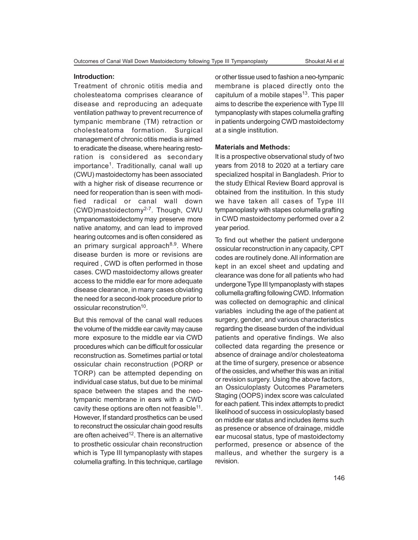#### **Introduction:**

Treatment of chronic otitis media and cholesteatoma comprises clearance of disease and reproducing an adequate ventilation pathway to prevent recurrence of tympanic membrane (TM) retraction or cholesteatoma formation. Surgical management of chronic otitis media is aimed to eradicate the disease, where hearing restoration is considered as secondary importance<sup>1</sup>. Traditionally, canal wall up (CWU) mastoidectomy has been associated with a higher risk of disease recurrence or need for reoperation than is seen with modified radical or canal wall down (CWD)mastoidectomy2-7. Though, CWU tympanomastoidectomy may preserve more native anatomy, and can lead to improved hearing outcomes and is often considered as an primary surgical approach $8,9$ . Where disease burden is more or revisions are required , CWD is often performed in those cases. CWD mastoidectomy allows greater access to the middle ear for more adequate disease clearance, in many cases obviating the need for a second-look procedure prior to ossicular reconstrution<sup>10</sup>.

But this removal of the canal wall reduces the volume of the middle ear cavity may cause more exposure to the middle ear via CWD procedures which can be difficult for ossicular reconstruction as. Sometimes partial or total ossicular chain reconstruction (PORP or TORP) can be attempted depending on individual case status, but due to be minimal space between the stapes and the neotympanic membrane in ears with a CWD cavity these options are often not feasible $^{11}$ . However, If standard prosthetics can be used to reconstruct the ossicular chain good results are often acheived<sup>12</sup>. There is an alternative to prosthetic ossicular chain reconstruction which is Type III tympanoplasty with stapes columella grafting. In this technique, cartilage

or other tissue used to fashion a neo-tympanic membrane is placed directly onto the capitulum of a mobile stapes<sup>13</sup>. This paper aims to describe the experience with Type III tympanoplasty with stapes columella grafting in patients undergoing CWD mastoidectomy at a single institution.

#### **Materials and Methods:**

It is a prospective observational study of two years from 2018 to 2020 at a tertiary care specialized hospital in Bangladesh. Prior to the study Ethical Review Board approval is obtained from the instituition. In this study we have taken all cases of Type III tympanoplasty with stapes columella grafting in CWD mastoidectomy performed over a 2 year period.

To find out whether the patient undergone ossicular reconstruction in any capacity, CPT codes are routinely done. All information are kept in an excel sheet and updating and clearance was done for all patients who had undergone Type III tympanoplasty with stapes collumella grafting following CWD. Information was collected on demographic and clinical variables including the age of the patient at surgery, gender, and various characteristics regarding the disease burden of the individual patients and operative findings. We also collected data regarding the presence or absence of drainage and/or cholesteatoma at the time of surgery, presence or absence of the ossicles, and whether this was an initial or revision surgery. Using the above factors, an Ossiculoplasty Outcomes Parameters Staging (OOPS) index score was calculated for each patient. This index attempts to predict likelihood of success in ossiculoplasty based on middle ear status and includes items such as presence or absence of drainage, middle ear mucosal status, type of mastoidectomy performed, presence or absence of the malleus, and whether the surgery is a revision.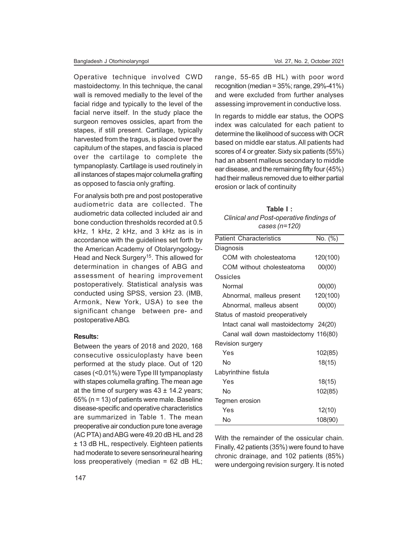Operative technique involved CWD mastoidectomy. In this technique, the canal wall is removed medially to the level of the facial ridge and typically to the level of the facial nerve itself. In the study place the surgeon removes ossicles, apart from the stapes, if still present. Cartilage, typically harvested from the tragus, is placed over the capitulum of the stapes, and fascia is placed over the cartilage to complete the tympanoplasty. Cartilage is used routinely in all instances of stapes major columella grafting as opposed to fascia only grafting.

For analysis both pre and post postoperative audiometric data are collected. The audiometric data collected included air and bone conduction thresholds recorded at 0.5 kHz, 1 kHz, 2 kHz, and 3 kHz as is in accordance with the guidelines set forth by the American Academy of Otolaryngology-Head and Neck Surgery<sup>15</sup>. This allowed for determination in changes of ABG and assessment of hearing improvement postoperatively. Statistical analysis was conducted using SPSS, version 23. (IMB, Armonk, New York, USA) to see the significant change between pre- and postoperative ABG.

## **Results:**

Between the years of 2018 and 2020, 168 consecutive ossiculoplasty have been performed at the study place. Out of 120 cases (<0.01%) were Type III tympanoplasty with stapes columella grafting. The mean age at the time of surgery was  $43 \pm 14.2$  years; 65% (n = 13) of patients were male. Baseline disease-specific and operative characteristics are summarized in Table 1. The mean preoperative air conduction pure tone average (AC PTA) and ABG were 49.20 dB HL and 28 ± 13 dB HL, respectively. Eighteen patients had moderate to severe sensorineural hearing loss preoperatively (median = 62 dB HL;

range, 55-65 dB HL) with poor word recognition (median = 35%; range, 29%-41%) and were excluded from further analyses assessing improvement in conductive loss.

In regards to middle ear status, the OOPS index was calculated for each patient to determine the likelihood of success with OCR based on middle ear status. All patients had scores of 4 or greater. Sixty six patients (55%) had an absent malleus secondary to middle ear disease, and the remaining fifty four (45%) had their malleus removed due to either partial erosion or lack of continuity

| Table I:                                |
|-----------------------------------------|
| Clinical and Post-operative findings of |
| cases $(n=120)$                         |

| <b>Patient Characteristics</b>         | $\overline{\text{No}}$ . (%) |
|----------------------------------------|------------------------------|
| Diagnosis                              |                              |
| COM with cholesteatoma                 | 120(100)                     |
| COM without cholesteatoma              | 00(00)                       |
| Ossicles                               |                              |
| Normal                                 | 00(00)                       |
| Abnormal, malleus present              | 120(100)                     |
| Abnormal, malleus absent               | 00(00)                       |
| Status of mastoid preoperatively       |                              |
| Intact canal wall mastoidectomy 24(20) |                              |
| Canal wall down mastoidectomy 116(80)  |                              |
| Revision surgery                       |                              |
| Yes                                    | 102(85)                      |
| Nο                                     | 18(15)                       |
| Labyrinthine fistula                   |                              |
| Yes                                    | 18(15)                       |
| No                                     | 102(85)                      |
| Tegmen erosion                         |                              |
| Yes                                    | 12(10)                       |
| Nο                                     | 108(90)                      |

With the remainder of the ossicular chain. Finally, 42 patients (35%) were found to have chronic drainage, and 102 patients (85%) were undergoing revision surgery. It is noted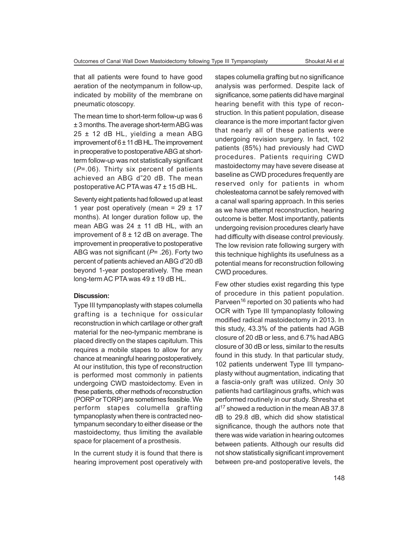that all patients were found to have good aeration of the neotympanum in follow-up, indicated by mobility of the membrane on pneumatic otoscopy.

The mean time to short-term follow-up was 6 ± 3 months. The average short-term ABG was 25 ± 12 dB HL, yielding a mean ABG improvement of 6 ± 11 dB HL. The improvement in preoperative to postoperative ABG at shortterm follow-up was not statistically significant (*P*=.06). Thirty six percent of patients achieved an ABG d"20 dB. The mean postoperative AC PTA was 47 ± 15 dB HL.

Seventy eight patients had followed up at least 1 year post operatively (mean =  $29 \pm 17$ months). At longer duration follow up, the mean ABG was  $24 \pm 11$  dB HL, with an improvement of  $8 \pm 12$  dB on average. The improvement in preoperative to postoperative ABG was not significant (*P*= .26). Forty two percent of patients achieved an ABG d"20 dB beyond 1-year postoperatively. The mean long-term AC PTA was 49 ± 19 dB HL.

### **Discussion:**

Type III tympanoplasty with stapes columella grafting is a technique for ossicular reconstruction in which cartilage or other graft material for the neo-tympanic membrane is placed directly on the stapes capitulum. This requires a mobile stapes to allow for any chance at meaningful hearing postoperatively. At our institution, this type of reconstruction is performed most commonly in patients undergoing CWD mastoidectomy. Even in these patients, other methods of reconstruction (PORP or TORP) are sometimes feasible. We perform stapes columella grafting tympanoplasty when there is contracted neotympanum secondary to either disease or the mastoidectomy, thus limiting the available space for placement of a prosthesis.

In the current study it is found that there is hearing improvement post operatively with stapes columella grafting but no significance analysis was performed. Despite lack of significance, some patients did have marginal hearing benefit with this type of reconstruction. In this patient population, disease clearance is the more important factor given that nearly all of these patients were undergoing revision surgery. In fact, 102 patients (85%) had previously had CWD procedures. Patients requiring CWD mastoidectomy may have severe disease at baseline as CWD procedures frequently are reserved only for patients in whom cholesteatoma cannot be safely removed with a canal wall sparing approach. In this series as we have attempt reconstruction, hearing outcome is better. Most importantly, patients undergoing revision procedures clearly have had difficulty with disease control previously. The low revision rate following surgery with this technique highlights its usefulness as a potential means for reconstruction following CWD procedures.

Few other studies exist regarding this type of procedure in this patient population. Parveen<sup>16</sup> reported on 30 patients who had OCR with Type III tympanoplasty following modified radical mastoidectomy in 2013. In this study, 43.3% of the patients had AGB closure of 20 dB or less, and 6.7% had ABG closure of 30 dB or less, similar to the results found in this study. In that particular study, 102 patients underwent Type III tympanoplasty without augmentation, indicating that a fascia-only graft was utilized. Only 30 patients had cartilaginous grafts, which was performed routinely in our study. Shresha et al<sup>17</sup> showed a reduction in the mean AB 37.8 dB to 29.8 dB, which did show statistical significance, though the authors note that there was wide variation in hearing outcomes between patients. Although our results did not show statistically significant improvement between pre-and postoperative levels, the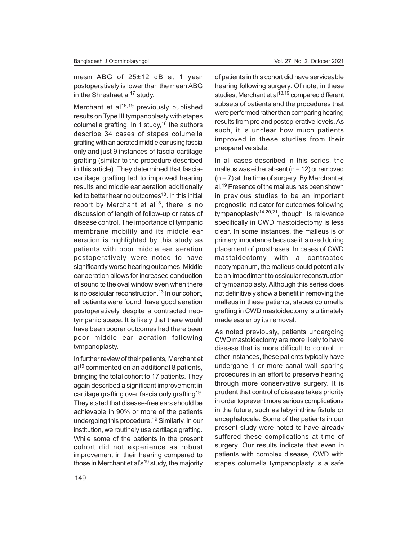mean ABG of 25±12 dB at 1 year postoperatively is lower than the mean ABG in the Shreshaet al $17$  study.

Merchant et al $18,19$  previously published results on Type III tympanoplasty with stapes columella grafting. In 1 study,<sup>18</sup> the authors describe 34 cases of stapes columella grafting with an aerated middle ear using fascia only and just 9 instances of fascia-cartilage grafting (similar to the procedure described in this article). They determined that fasciacartilage grafting led to improved hearing results and middle ear aeration additionally led to better hearing outcomes<sup>18</sup>. In this initial report by Merchant et  $al^{18}$ , there is no discussion of length of follow-up or rates of disease control. The importance of tympanic membrane mobility and its middle ear aeration is highlighted by this study as patients with poor middle ear aeration postoperatively were noted to have significantly worse hearing outcomes. Middle ear aeration allows for increased conduction of sound to the oval window even when there is no ossicular reconstruction. $13$  In our cohort, all patients were found have good aeration postoperatively despite a contracted neotympanic space. It is likely that there would have been poorer outcomes had there been poor middle ear aeration following tympanoplasty.

In further review of their patients, Merchant et  $al<sup>19</sup>$  commented on an additional 8 patients, bringing the total cohort to 17 patients. They again described a significant improvement in cartilage grafting over fascia only grafting $^{19}$ . They stated that disease-free ears should be achievable in 90% or more of the patients undergoing this procedure.<sup>19</sup> Similarly, in our institution, we routinely use cartilage grafting. While some of the patients in the present cohort did not experience as robust improvement in their hearing compared to those in Merchant et al's<sup>19</sup> study, the majority

of patients in this cohort did have serviceable hearing following surgery. Of note, in these studies, Merchant et al<sup>18,19</sup> compared different subsets of patients and the procedures that were performed rather than comparing hearing results from pre and postop-erative levels. As such, it is unclear how much patients improved in these studies from their preoperative state.

In all cases described in this series, the malleus was either absent ( $n = 12$ ) or removed  $(n = 7)$  at the time of surgery. By Merchant et al.<sup>19</sup> Presence of the malleus has been shown in previous studies to be an important prognostic indicator for outcomes following tympanoplasty<sup>14,20,21</sup>, though its relevance specifically in CWD mastoidectomy is less clear. In some instances, the malleus is of primary importance because it is used during placement of prostheses. In cases of CWD mastoidectomy with a contracted neotympanum, the malleus could potentially be an impediment to ossicular reconstruction of tympanoplasty. Although this series does not definitively show a benefit in removing the malleus in these patients, stapes columella grafting in CWD mastoidectomy is ultimately made easier by its removal.

As noted previously, patients undergoing CWD mastoidectomy are more likely to have disease that is more difficult to control. In other instances, these patients typically have undergone 1 or more canal wall–sparing procedures in an effort to preserve hearing through more conservative surgery. It is prudent that control of disease takes priority in order to prevent more serious complications in the future, such as labyrinthine fistula or encephalocele. Some of the patients in our present study were noted to have already suffered these complications at time of surgery. Our results indicate that even in patients with complex disease, CWD with stapes columella tympanoplasty is a safe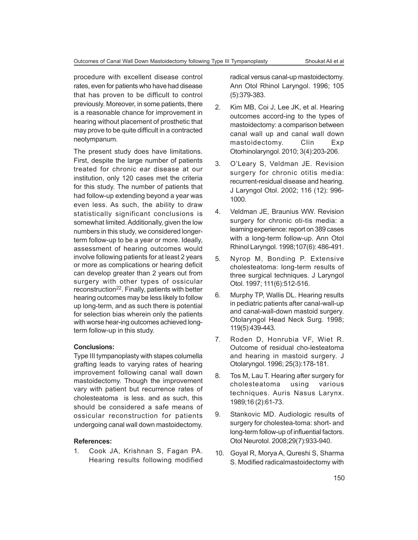procedure with excellent disease control rates, even for patients who have had disease that has proven to be difficult to control previously. Moreover, in some patients, there is a reasonable chance for improvement in hearing without placement of prosthetic that may prove to be quite difficult in a contracted neotympanum.

The present study does have limitations. First, despite the large number of patients treated for chronic ear disease at our institution, only 120 cases met the criteria for this study. The number of patients that had follow-up extending beyond a year was even less. As such, the ability to draw statistically significant conclusions is somewhat limited. Additionally, given the low numbers in this study, we considered longerterm follow-up to be a year or more. Ideally, assessment of hearing outcomes would involve following patients for at least 2 years or more as complications or hearing deficit can develop greater than 2 years out from surgery with other types of ossicular reconstruction<sup>22</sup>. Finally, patients with better hearing outcomes may be less likely to follow up long-term, and as such there is potential for selection bias wherein only the patients with worse hear-ing outcomes achieved longterm follow-up in this study.

## **Conclusions:**

Type III tympanoplasty with stapes columella grafting leads to varying rates of hearing improvement following canal wall down mastoidectomy. Though the improvement vary with patient but recurrence rates of cholesteatoma is less. and as such, this should be considered a safe means of ossicular reconstruction for patients undergoing canal wall down mastoidectomy.

## **References:**

1. Cook JA, Krishnan S, Fagan PA. Hearing results following modified radical versus canal-up mastoidectomy. Ann Otol Rhinol Laryngol. 1996; 105 (5):379-383.

- 2. Kim MB, Coi J, Lee JK, et al. Hearing outcomes accord-ing to the types of mastoidectomy: a comparison between canal wall up and canal wall down mastoidectomy. Clin Exp Otorhinolaryngol. 2010; 3(4):203-206.
- 3. O'Leary S, Veldman JE. Revision surgery for chronic otitis media: recurrent-residual disease and hearing. J Laryngol Otol. 2002; 116 (12): 996- 1000.
- 4. Veldman JE, Braunius WW. Revision surgery for chronic oti-tis media: a learning experience: report on 389 cases with a long-term follow-up. Ann Otol Rhinol Laryngol. 1998;107(6): 486-491.
- 5. Nyrop M, Bonding P. Extensive cholesteatoma: long-term results of three surgical techniques. J Laryngol Otol. 1997; 111(6):512-516.
- 6. Murphy TP, Wallis DL. Hearing results in pediatric patients after canal-wall-up and canal-wall-down mastoid surgery. Otolaryngol Head Neck Surg. 1998; 119(5):439-443.
- 7. Roden D, Honrubia VF, Wiet R. Outcome of residual cho-lesteatoma and hearing in mastoid surgery. J Otolaryngol. 1996; 25(3):178-181.
- 8. Tos M, Lau T. Hearing after surgery for cholesteatoma using various techniques. Auris Nasus Larynx. 1989;16 (2):61-73.
- 9. Stankovic MD. Audiologic results of surgery for cholestea-toma: short- and long-term follow-up of influential factors. Otol Neurotol. 2008;29(7):933-940.
- 10. Goyal R, Morya A, Qureshi S, Sharma S. Modified radicalmastoidectomy with